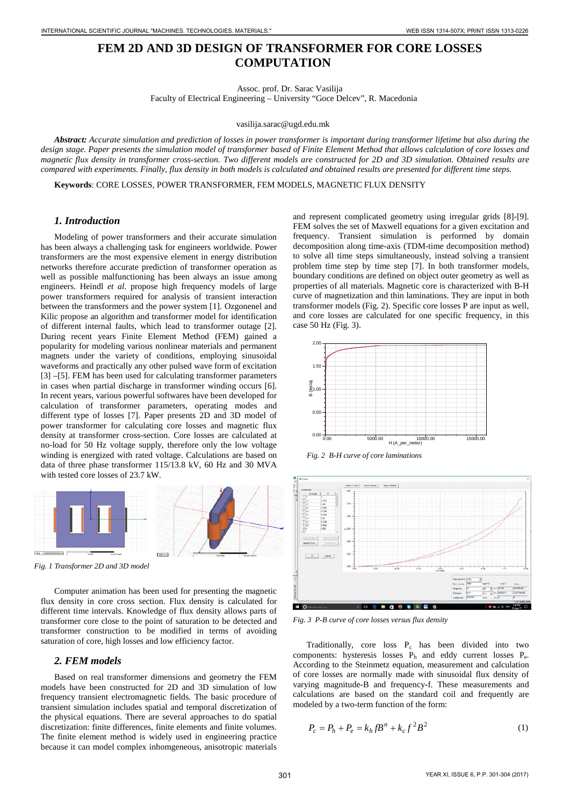# **FEM 2D AND 3D DESIGN OF TRANSFORMER FOR CORE LOSSES COMPUTATION**

Assoc. prof. Dr. Sarac Vasilija

Faculty of Electrical Engineering – University "Goce Delcev", R. Macedonia

vasilija.sarac@ugd.edu.mk

*Abstract: Accurate simulation and prediction of losses in power transformer is important during transformer lifetime but also during the design stage. Paper presents the simulation model of transformer based of Finite Element Method that allows calculation of core losses and magnetic flux density in transformer cross-section. Two different models are constructed for 2D and 3D simulation. Obtained results are compared with experiments. Finally, flux density in both models is calculated and obtained results are presented for different time steps.* 

**Keywords**: CORE LOSSES, POWER TRANSFORMER, FEM MODELS, MAGNETIC FLUX DENSITY

## *1. Introduction*

Modeling of power transformers and their accurate simulation has been always a challenging task for engineers worldwide. Power transformers are the most expensive element in energy distribution networks therefore accurate prediction of transformer operation as well as possible malfunctioning has been always an issue among engineers. Heindl *et al.* propose high frequency models of large power transformers required for analysis of transient interaction between the transformers and the power system [1]. Ozgonenel and Kilic propose an algorithm and transformer model for identification of different internal faults, which lead to transformer outage [2]. During recent years Finite Element Method (FEM) gained a popularity for modeling various nonlinear materials and permanent magnets under the variety of conditions, employing sinusoidal waveforms and practically any other pulsed wave form of excitation [3] –[5]. FEM has been used for calculating transformer parameters in cases when partial discharge in transformer winding occurs [6]. In recent years, various powerful softwares have been developed for calculation of transformer parameters, operating modes and different type of losses [7]. Paper presents 2D and 3D model of power transformer for calculating core losses and magnetic flux density at transformer cross-section. Core losses are calculated at no-load for 50 Hz voltage supply, therefore only the low voltage winding is energized with rated voltage. Calculations are based on data of three phase transformer 115/13.8 kV, 60 Hz and 30 MVA with tested core losses of 23.7 kW. 3021 IS THE MELTING OF THE STATE OF THE MELTING OF THE MELTING OF THE MELTING OF THE MELTING OF THE MELTING OF THE MELTING OF THE MELTING OF THE MELTING OF THE MELTING OF THE MELTING OF THE MELTING OF THE MELTING OF THE M



*Fig. 1 Transformer 2D and 3D model*

Computer animation has been used for presenting the magnetic flux density in core cross section. Flux density is calculated for different time intervals. Knowledge of flux density allows parts of transformer core close to the point of saturation to be detected and transformer construction to be modified in terms of avoiding saturation of core, high losses and low efficiency factor.

#### *2. FEM models*

Based on real transformer dimensions and geometry the FEM models have been constructed for 2D and 3D simulation of low frequency transient electromagnetic fields. The basic procedure of transient simulation includes spatial and temporal discretization of the physical equations. There are several approaches to do spatial discretization: finite differences, finite elements and finite volumes. The finite element method is widely used in engineering practice because it can model complex inhomgeneous, anisotropic materials and represent complicated geometry using irregular grids [8]-[9]. FEM solves the set of Maxwell equations for a given excitation and frequency. Transient simulation is performed by domain decomposition along time-axis (TDM-time decomposition method) to solve all time steps simultaneously, instead solving a transient problem time step by time step [7]. In both transformer models, boundary conditions are defined on object outer geometry as well as properties of all materials. Magnetic core is characterized with B-H curve of magnetization and thin laminations. They are input in both transformer models (Fig. 2). Specific core losses P are input as well, and core losses are calculated for one specific frequency, in this case 50 Hz (Fig. 3).



*Fig. 2 B-H curve of core laminations* 



*Fig. 3 P-B curve of core losses versus flux density*

Traditionally, core loss P<sub>c</sub> has been divided into two components: hysteresis losses  $P_h$  and eddy current losses  $P_e$ . According to the Steinmetz equation, measurement and calculation of core losses are normally made with sinusoidal flux density of varying magnitude-B and frequency-f. These measurements and calculations are based on the standard coil and frequently are modeled by a two-term function of the form:

$$
P_c = P_h + P_e = k_h f B^n + k_c f^2 B^2
$$
 (1)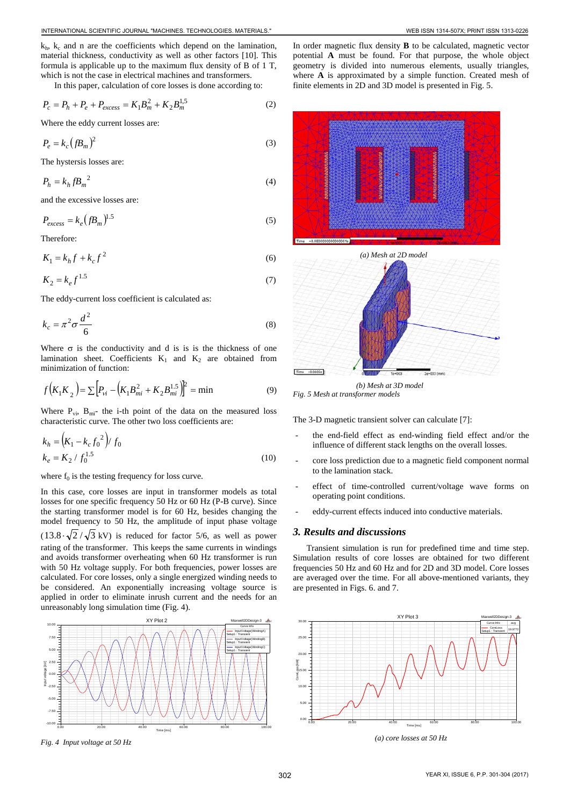$k_h$ ,  $k_c$  and n are the coefficients which depend on the lamination, material thickness, conductivity as well as other factors [10]. This formula is applicable up to the maximum flux density of B of 1 T, which is not the case in electrical machines and transformers.

In this paper, calculation of core losses is done according to:

$$
P_c = P_h + P_e + P_{excess} = K_1 B_m^2 + K_2 B_m^{1,5}
$$
 (2)

Where the eddy current losses are:

$$
P_e = k_c \left( f B_m \right)^2 \tag{3}
$$

The hystersis losses are:

$$
P_h = k_h f B_m^2 \tag{4}
$$

and the excessive losses are:

$$
P_{excess} = k_e \left( f B_m \right)^{1.5} \tag{5}
$$

Therefore:

 $K_1 = k_h f + k_c f^2$  (6)

$$
K_2 = k_e f^{1.5} \tag{7}
$$

The eddy-current loss coefficient is calculated as:

$$
k_c = \pi^2 \sigma \frac{d^2}{6}
$$
 (8)

Where  $\sigma$  is the conductivity and d is is is the thickness of one lamination sheet. Coefficients  $K_1$  and  $K_2$  are obtained from minimization of function:

$$
f(K_1K_2) = \sum \Big[ P_{vi} - \Big( K_1 B_{mi}^2 + K_2 B_{mi}^{1.5} \Big)^2 \Big] = \min
$$
 (9)

Where  $P_{vi}$ ,  $B_{mi}$ - the i-th point of the data on the measured loss characteristic curve. The other two loss coefficients are:

$$
k_h = (K_1 - k_c f_0^2) / f_0
$$
  
\n
$$
k_e = K_2 / f_0^{1.5}
$$
 (10)

where  $f_0$  is the testing frequency for loss curve.

In this case, core losses are input in transformer models as total losses for one specific frequency 50 Hz or 60 Hz (P-B curve). Since the starting transformer model is for 60 Hz, besides changing the model frequency to 50 Hz, the amplitude of input phase voltage  $(13.8 \cdot \sqrt{2}/\sqrt{3} \text{ kV})$  is reduced for factor 5/6, as well as power rating of the transformer. This keeps the same currents in windings and avoids transformer overheating when 60 Hz transformer is run with 50 Hz voltage supply. For both frequencies, power losses are calculated. For core losses, only a single energized winding needs to be considered. An exponentially increasing voltage source is applied in order to eliminate inrush current and the needs for an unreasonably long simulation time (Fig. 4).



*Fig. 4 Input voltage at 50 Hz*

In order magnetic flux density **B** to be calculated, magnetic vector potential **A** must be found. For that purpose, the whole object geometry is divided into numerous elements, usually triangles, where **A** is approximated by a simple function. Created mesh of finite elements in 2D and 3D model is presented in Fig. 5.



*Fig. 5 Mesh at transformer models* 

The 3-D magnetic transient solver can calculate [7]:

- the end-field effect as end-winding field effect and/or the influence of different stack lengths on the overall losses.
- core loss prediction due to a magnetic field component normal to the lamination stack.
- effect of time-controlled current/voltage wave forms on operating point conditions.
- eddy-current effects induced into conductive materials.

#### *3. Results and discussions*

Transient simulation is run for predefined time and time step. Simulation results of core losses are obtained for two different frequencies 50 Hz and 60 Hz and for 2D and 3D model. Core losses are averaged over the time. For all above-mentioned variants, they are presented in Figs. 6. and 7.



*(a) core losses at 50 Hz*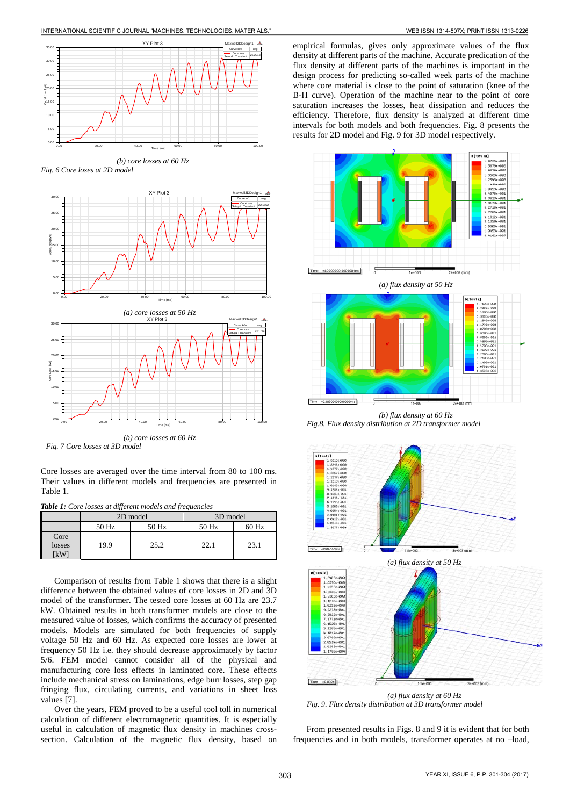

*(b) core losses at 60 Hz Fig. 6 Core loses at 2D model*



*Fig. 7 Core losses at 3D model*

Core losses are averaged over the time interval from 80 to 100 ms. Their values in different models and frequencies are presented in Table 1.

|  | <b>Table 1:</b> Core losses at different models and frequencies |  |  |
|--|-----------------------------------------------------------------|--|--|
|  |                                                                 |  |  |
|  |                                                                 |  |  |

|                        |       | 2D model | 3D model |         |  |
|------------------------|-------|----------|----------|---------|--|
|                        | 50 Hz | 50 Hz    | 50 Hz    | $60$ Hz |  |
| Core<br>losses<br>「kW⊺ | 19.9  | 25.2     | 22.1     | 23.1    |  |

Comparison of results from Table 1 shows that there is a slight difference between the obtained values of core losses in 2D and 3D model of the transformer. The tested core losses at 60 Hz are 23.7 kW. Obtained results in both transformer models are close to the measured value of losses, which confirms the accuracy of presented models. Models are simulated for both frequencies of supply voltage 50 Hz and 60 Hz. As expected core losses are lower at frequency 50 Hz i.e. they should decrease approximately by factor 5/6. FEM model cannot consider all of the physical and manufacturing core loss effects in laminated core. These effects include mechanical stress on laminations, edge burr losses, step gap fringing flux, circulating currents, and variations in sheet loss values [7].

Over the years, FEM proved to be a useful tool toll in numerical calculation of different electromagnetic quantities. It is especially useful in calculation of magnetic flux density in machines crosssection. Calculation of the magnetic flux density, based on empirical formulas, gives only approximate values of the flux density at different parts of the machine. Accurate predication of the flux density at different parts of the machines is important in the design process for predicting so-called week parts of the machine where core material is close to the point of saturation (knee of the B-H curve). Operation of the machine near to the point of core saturation increases the losses, heat dissipation and reduces the efficiency. Therefore, flux density is analyzed at different time intervals for both models and both frequencies. Fig. 8 presents the results for 2D model and Fig. 9 for 3D model respectively.



*(b) flux density at 60 Hz Fig.8. Flux density distribution at 2D transformer model*



*(a) flux density at 60 Hz Fig. 9. Flux density distribution at 3D transformer model*

From presented results in Figs. 8 and 9 it is evident that for both frequencies and in both models, transformer operates at no –load,